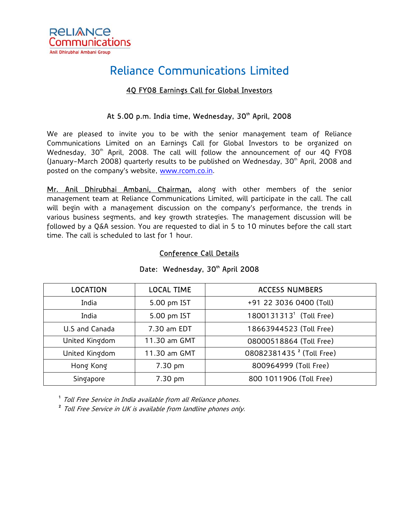

# Reliance Communications Limited

### 4Q FY08 Earnings Call for Global Investors

## At 5.00 p.m. India time, Wednesday, 30<sup>th</sup> April, 2008

We are pleased to invite you to be with the senior management team of Reliance Communications Limited on an Earnings Call for Global Investors to be organized on Wednesday, 30<sup>th</sup> April, 2008. The call will follow the announcement of our 40 FY08 (January-March 2008) quarterly results to be published on Wednesday, 30<sup>th</sup> April, 2008 and posted on the company's website, [www.rcom.co.in.](http://www.rcom.co.in/)

Mr. Anil Dhirubhai Ambani, Chairman, along with other members of the senior management team at Reliance Communications Limited, will participate in the call. The call will begin with a management discussion on the company's performance, the trends in various business segments, and key growth strategies. The management discussion will be followed by a Q&A session. You are requested to dial in 5 to 10 minutes before the call start time. The call is scheduled to last for 1 hour.

#### Conference Call Details

| <b>LOCATION</b> | <b>LOCAL TIME</b> | <b>ACCESS NUMBERS</b>                |
|-----------------|-------------------|--------------------------------------|
| India           | 5.00 pm IST       | +91 22 3036 0400 (Toll)              |
| India           | 5.00 pm IST       | 1800131313 <sup>1</sup> (Toll Free)  |
| U.S and Canada  | 7.30 am EDT       | 18663944523 (Toll Free)              |
| United Kingdom  | 11.30 am GMT      | 08000518864 (Toll Free)              |
| United Kingdom  | 11.30 am GMT      | 08082381435 <sup>2</sup> (Toll Free) |
| Hong Kong       | 7.30 pm           | 800964999 (Toll Free)                |
| Singapore       | 7.30 pm           | 800 1011906 (Toll Free)              |

#### Date: Wednesday, 30th April 2008

<sup>1</sup> Toll Free Service in India available from all Reliance phones.

<sup>2</sup> Toll Free Service in UK is available from landline phones only.